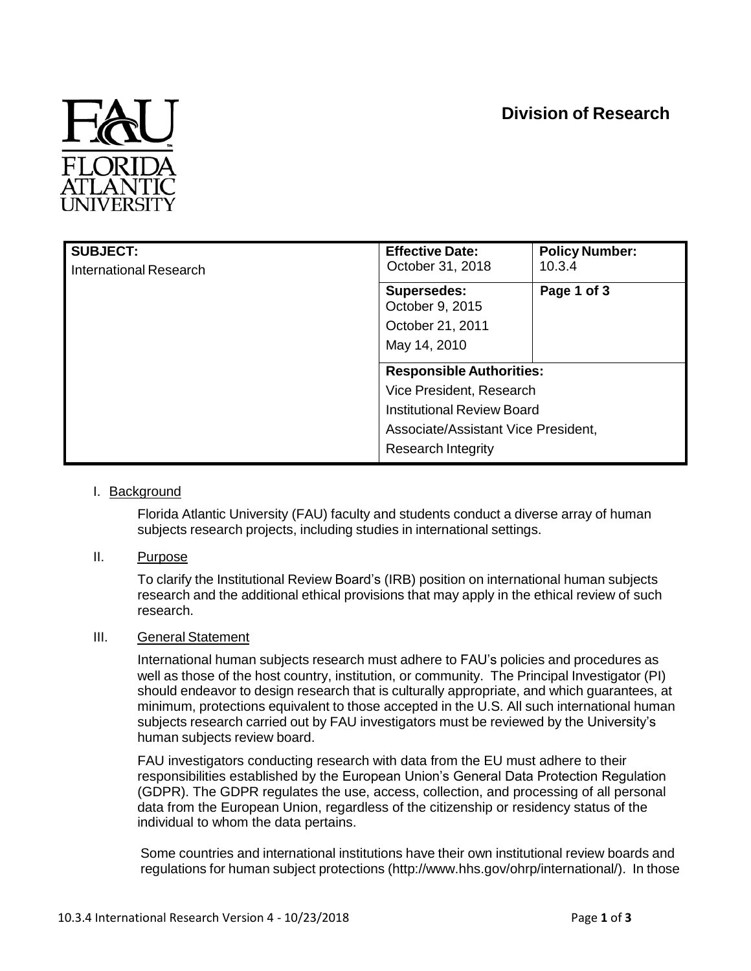# **Division of Research**



| <b>SUBJECT:</b><br>International Research | <b>Effective Date:</b><br>October 31, 2018 | <b>Policy Number:</b><br>10.3.4 |
|-------------------------------------------|--------------------------------------------|---------------------------------|
|                                           | <b>Supersedes:</b><br>October 9, 2015      | Page 1 of 3                     |
|                                           | October 21, 2011                           |                                 |
|                                           | May 14, 2010                               |                                 |
|                                           | <b>Responsible Authorities:</b>            |                                 |
|                                           | Vice President, Research                   |                                 |
|                                           | <b>Institutional Review Board</b>          |                                 |
|                                           | Associate/Assistant Vice President,        |                                 |
|                                           | <b>Research Integrity</b>                  |                                 |

# I. Background

Florida Atlantic University (FAU) faculty and students conduct a diverse array of human subjects research projects, including studies in international settings.

# II. Purpose

To clarify the Institutional Review Board's (IRB) position on international human subjects research and the additional ethical provisions that may apply in the ethical review of such research.

# III. General Statement

International human subjects research must adhere to FAU's policies and procedures as well as those of the host country, institution, or community. The Principal Investigator (PI) should endeavor to design research that is culturally appropriate, and which guarantees, at minimum, protections equivalent to those accepted in the U.S. All such international human subjects research carried out by FAU investigators must be reviewed by the University's human subjects review board.

FAU investigators conducting research with data from the EU must adhere to their responsibilities established by the European Union's General Data Protection Regulation (GDPR). The GDPR regulates the use, access, collection, and processing of all personal data from the European Union, regardless of the citizenship or residency status of the individual to whom the data pertains.

Some countries and international institutions have their own institutional review boards and regulations for human subject protections (http://www.hhs.gov/ohrp/international/). In those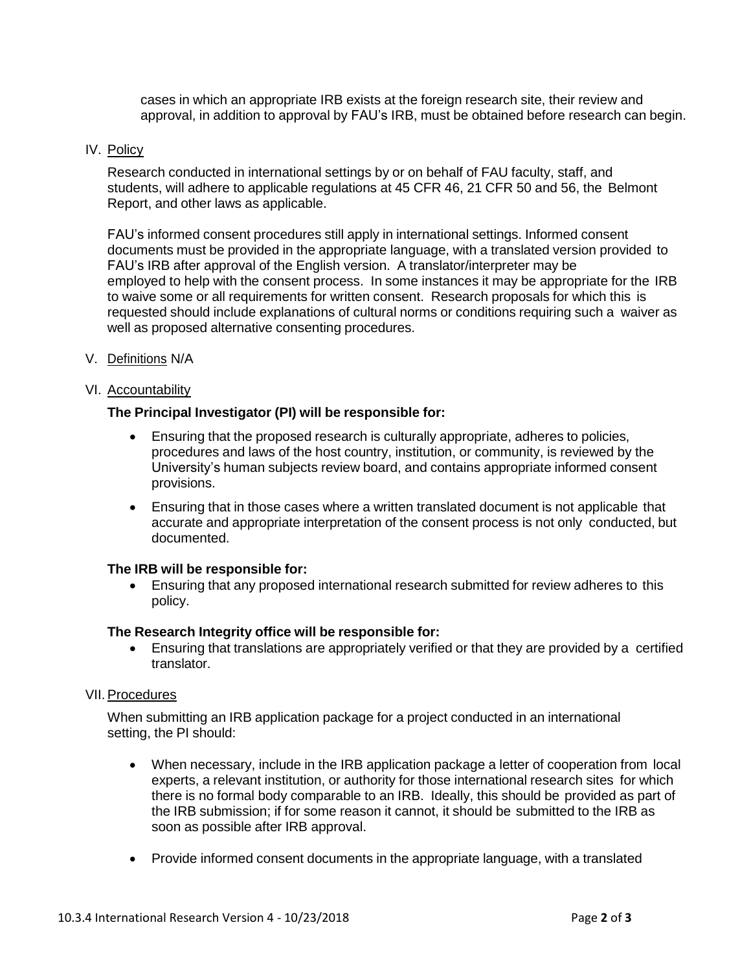cases in which an appropriate IRB exists at the foreign research site, their review and approval, in addition to approval by FAU's IRB, must be obtained before research can begin.

## IV. Policy

Research conducted in international settings by or on behalf of FAU faculty, staff, and students, will adhere to applicable regulations at 45 CFR 46, 21 CFR 50 and 56, the Belmont Report, and other laws as applicable.

FAU's informed consent procedures still apply in international settings. Informed consent documents must be provided in the appropriate language, with a translated version provided to FAU's IRB after approval of the English version. A translator/interpreter may be employed to help with the consent process. In some instances it may be appropriate for the IRB to waive some or all requirements for written consent. Research proposals for which this is requested should include explanations of cultural norms or conditions requiring such a waiver as well as proposed alternative consenting procedures.

V. Definitions N/A

## VI. Accountability

## **The Principal Investigator (PI) will be responsible for:**

- Ensuring that the proposed research is culturally appropriate, adheres to policies, procedures and laws of the host country, institution, or community, is reviewed by the University's human subjects review board, and contains appropriate informed consent provisions.
- Ensuring that in those cases where a written translated document is not applicable that accurate and appropriate interpretation of the consent process is not only conducted, but documented.

#### **The IRB will be responsible for:**

 Ensuring that any proposed international research submitted for review adheres to this policy.

#### **The Research Integrity office will be responsible for:**

 Ensuring that translations are appropriately verified or that they are provided by a certified translator.

#### VII. Procedures

When submitting an IRB application package for a project conducted in an international setting, the PI should:

- When necessary, include in the IRB application package a letter of cooperation from local experts, a relevant institution, or authority for those international research sites for which there is no formal body comparable to an IRB. Ideally, this should be provided as part of the IRB submission; if for some reason it cannot, it should be submitted to the IRB as soon as possible after IRB approval.
- Provide informed consent documents in the appropriate language, with a translated